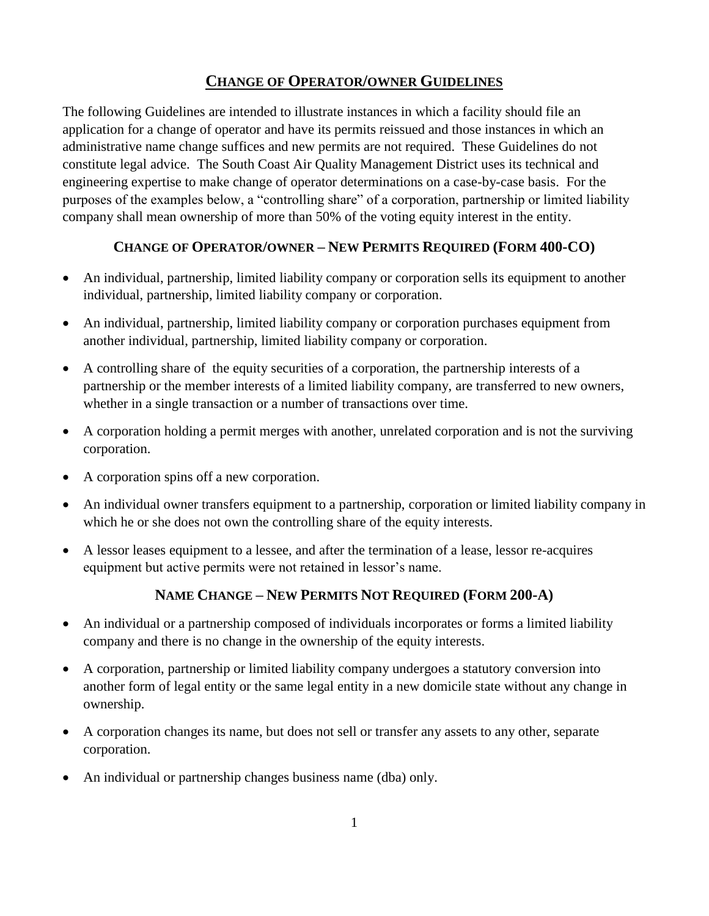## **CHANGE OF OPERATOR/OWNER GUIDELINES**

The following Guidelines are intended to illustrate instances in which a facility should file an application for a change of operator and have its permits reissued and those instances in which an administrative name change suffices and new permits are not required. These Guidelines do not constitute legal advice. The South Coast Air Quality Management District uses its technical and engineering expertise to make change of operator determinations on a case-by-case basis. For the purposes of the examples below, a "controlling share" of a corporation, partnership or limited liability company shall mean ownership of more than 50% of the voting equity interest in the entity.

## **CHANGE OF OPERATOR/OWNER – NEW PERMITS REQUIRED (FORM 400-CO)**

- An individual, partnership, limited liability company or corporation sells its equipment to another individual, partnership, limited liability company or corporation.
- An individual, partnership, limited liability company or corporation purchases equipment from another individual, partnership, limited liability company or corporation.
- A controlling share of the equity securities of a corporation, the partnership interests of a partnership or the member interests of a limited liability company, are transferred to new owners, whether in a single transaction or a number of transactions over time.
- A corporation holding a permit merges with another, unrelated corporation and is not the surviving corporation.
- A corporation spins off a new corporation.
- An individual owner transfers equipment to a partnership, corporation or limited liability company in which he or she does not own the controlling share of the equity interests.
- A lessor leases equipment to a lessee, and after the termination of a lease, lessor re-acquires equipment but active permits were not retained in lessor's name.

## **NAME CHANGE – NEW PERMITS NOT REQUIRED (FORM 200-A)**

- An individual or a partnership composed of individuals incorporates or forms a limited liability company and there is no change in the ownership of the equity interests.
- A corporation, partnership or limited liability company undergoes a statutory conversion into another form of legal entity or the same legal entity in a new domicile state without any change in ownership.
- A corporation changes its name, but does not sell or transfer any assets to any other, separate corporation.
- An individual or partnership changes business name (dba) only.